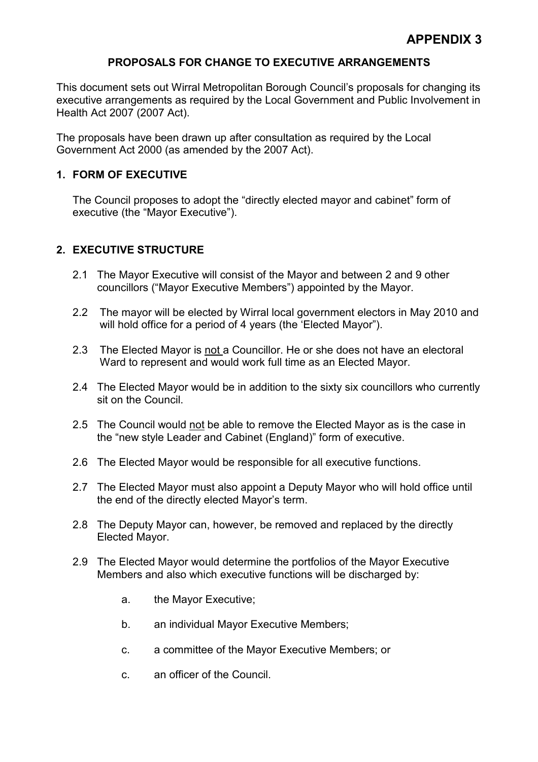## PROPOSALS FOR CHANGE TO EXECUTIVE ARRANGEMENTS

This document sets out Wirral Metropolitan Borough Council's proposals for changing its executive arrangements as required by the Local Government and Public Involvement in Health Act 2007 (2007 Act).

The proposals have been drawn up after consultation as required by the Local Government Act 2000 (as amended by the 2007 Act).

## 1. FORM OF EXECUTIVE

The Council proposes to adopt the "directly elected mayor and cabinet" form of executive (the "Mayor Executive").

# 2. EXECUTIVE STRUCTURE

- 2.1 The Mayor Executive will consist of the Mayor and between 2 and 9 other councillors ("Mayor Executive Members") appointed by the Mayor.
- 2.2 The mayor will be elected by Wirral local government electors in May 2010 and will hold office for a period of 4 years (the 'Elected Mayor").
- 2.3 The Elected Mayor is not a Councillor. He or she does not have an electoral Ward to represent and would work full time as an Elected Mayor.
- 2.4 The Elected Mayor would be in addition to the sixty six councillors who currently sit on the Council.
- 2.5 The Council would not be able to remove the Elected Mayor as is the case in the "new style Leader and Cabinet (England)" form of executive.
- 2.6 The Elected Mayor would be responsible for all executive functions.
- 2.7 The Elected Mayor must also appoint a Deputy Mayor who will hold office until the end of the directly elected Mayor's term.
- 2.8 The Deputy Mayor can, however, be removed and replaced by the directly Elected Mayor.
- 2.9 The Elected Mayor would determine the portfolios of the Mayor Executive Members and also which executive functions will be discharged by:
	- a. the Mayor Executive;
	- b. an individual Mayor Executive Members;
	- c. a committee of the Mayor Executive Members; or
	- c. an officer of the Council.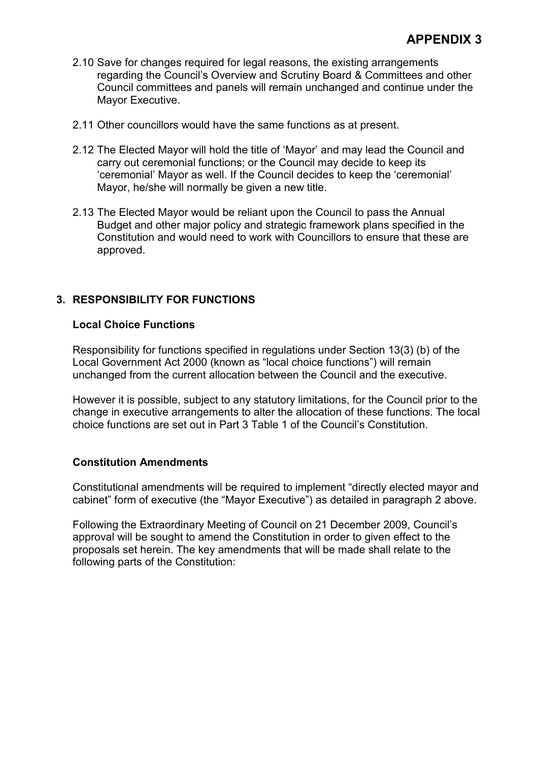- 2.10 Save for changes required for legal reasons, the existing arrangements regarding the Council's Overview and Scrutiny Board & Committees and other Council committees and panels will remain unchanged and continue under the Mayor Executive.
- 2.11 Other councillors would have the same functions as at present.
- 2.12 The Elected Mayor will hold the title of 'Mayor' and may lead the Council and carry out ceremonial functions; or the Council may decide to keep its 'ceremonial' Mayor as well. If the Council decides to keep the 'ceremonial' Mayor, he/she will normally be given a new title.
- 2.13 The Elected Mayor would be reliant upon the Council to pass the Annual Budget and other major policy and strategic framework plans specified in the Constitution and would need to work with Councillors to ensure that these are approved.

# 3. RESPONSIBILITY FOR FUNCTIONS

#### Local Choice Functions

Responsibility for functions specified in regulations under Section 13(3) (b) of the Local Government Act 2000 (known as "local choice functions") will remain unchanged from the current allocation between the Council and the executive.

However it is possible, subject to any statutory limitations, for the Council prior to the change in executive arrangements to alter the allocation of these functions. The local choice functions are set out in Part 3 Table 1 of the Council's Constitution.

#### Constitution Amendments

Constitutional amendments will be required to implement "directly elected mayor and cabinet" form of executive (the "Mayor Executive") as detailed in paragraph 2 above.

Following the Extraordinary Meeting of Council on 21 December 2009, Council's approval will be sought to amend the Constitution in order to given effect to the proposals set herein. The key amendments that will be made shall relate to the following parts of the Constitution: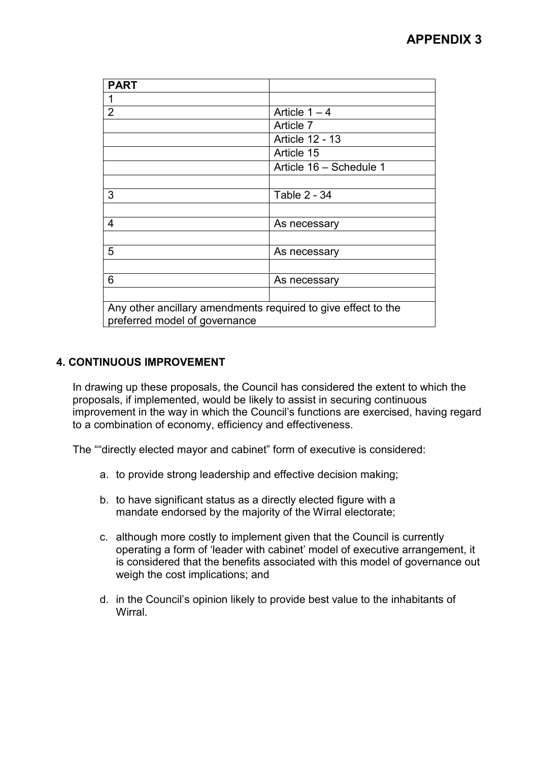| <b>PART</b>                                                                                    |                         |
|------------------------------------------------------------------------------------------------|-------------------------|
|                                                                                                |                         |
| $\overline{2}$                                                                                 | Article $1 - 4$         |
|                                                                                                | Article 7               |
|                                                                                                | Article 12 - 13         |
|                                                                                                | Article 15              |
|                                                                                                | Article 16 - Schedule 1 |
|                                                                                                |                         |
| 3                                                                                              | Table 2 - 34            |
|                                                                                                |                         |
| 4                                                                                              | As necessary            |
|                                                                                                |                         |
| 5                                                                                              | As necessary            |
|                                                                                                |                         |
| 6                                                                                              | As necessary            |
|                                                                                                |                         |
| Any other ancillary amendments required to give effect to the<br>preferred model of governance |                         |

# 4. CONTINUOUS IMPROVEMENT

In drawing up these proposals, the Council has considered the extent to which the proposals, if implemented, would be likely to assist in securing continuous improvement in the way in which the Council's functions are exercised, having regard to a combination of economy, efficiency and effectiveness.

The ""directly elected mayor and cabinet" form of executive is considered:

- a. to provide strong leadership and effective decision making;
- b. to have significant status as a directly elected figure with a mandate endorsed by the majority of the Wirral electorate;
- c. although more costly to implement given that the Council is currently operating a form of 'leader with cabinet' model of executive arrangement, it is considered that the benefits associated with this model of governance out weigh the cost implications; and
- d. in the Council's opinion likely to provide best value to the inhabitants of Wirral.